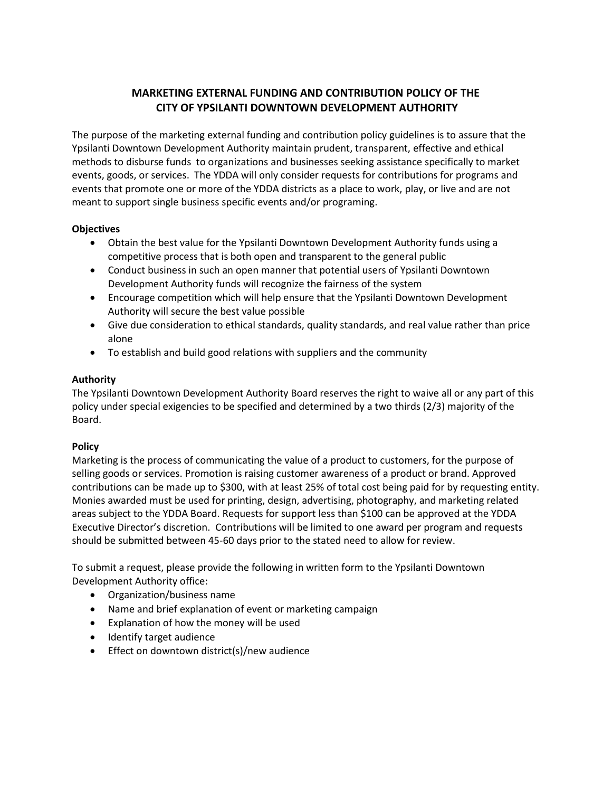# **MARKETING EXTERNAL FUNDING AND CONTRIBUTION POLICY OF THE CITY OF YPSILANTI DOWNTOWN DEVELOPMENT AUTHORITY**

The purpose of the marketing external funding and contribution policy guidelines is to assure that the Ypsilanti Downtown Development Authority maintain prudent, transparent, effective and ethical methods to disburse funds to organizations and businesses seeking assistance specifically to market events, goods, or services. The YDDA will only consider requests for contributions for programs and events that promote one or more of the YDDA districts as a place to work, play, or live and are not meant to support single business specific events and/or programing.

## **Objectives**

- Obtain the best value for the Ypsilanti Downtown Development Authority funds using a competitive process that is both open and transparent to the general public
- Conduct business in such an open manner that potential users of Ypsilanti Downtown Development Authority funds will recognize the fairness of the system
- Encourage competition which will help ensure that the Ypsilanti Downtown Development Authority will secure the best value possible
- Give due consideration to ethical standards, quality standards, and real value rather than price alone
- To establish and build good relations with suppliers and the community

#### **Authority**

The Ypsilanti Downtown Development Authority Board reserves the right to waive all or any part of this policy under special exigencies to be specified and determined by a two thirds (2/3) majority of the Board.

## **Policy**

Marketing is the process of communicating the value of a product to customers, for the purpose of selling goods or services. Promotion is raising customer awareness of a product or brand. Approved contributions can be made up to \$300, with at least 25% of total cost being paid for by requesting entity. Monies awarded must be used for printing, design, advertising, photography, and marketing related areas subject to the YDDA Board. Requests for support less than \$100 can be approved at the YDDA Executive Director's discretion. Contributions will be limited to one award per program and requests should be submitted between 45-60 days prior to the stated need to allow for review.

To submit a request, please provide the following in written form to the Ypsilanti Downtown Development Authority office:

- Organization/business name
- Name and brief explanation of event or marketing campaign
- Explanation of how the money will be used
- Identify target audience
- **•** Effect on downtown district(s)/new audience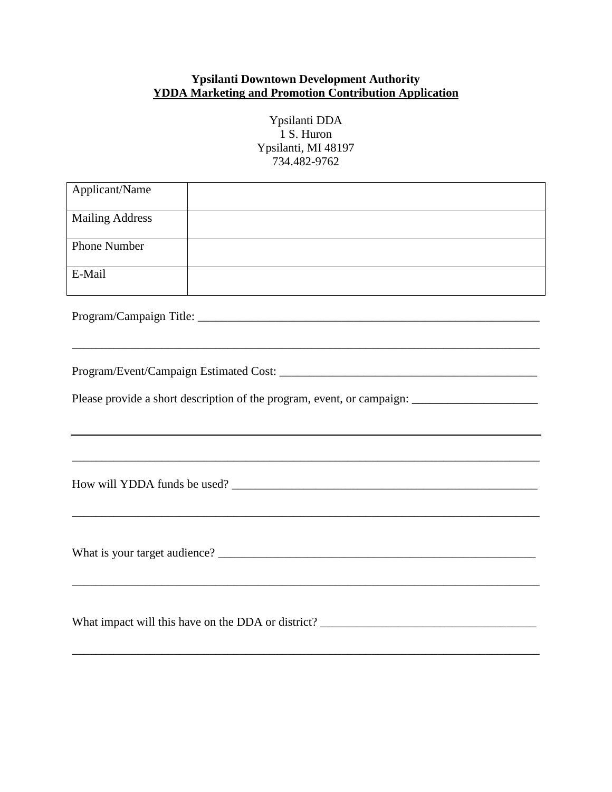# **Ypsilanti Downtown Development Authority YDDA Marketing and Promotion Contribution Application**

| Ypsilanti DDA       |
|---------------------|
| 1 S. Huron          |
| Ypsilanti, MI 48197 |
| 734.482-9762        |

| Applicant/Name                                                                                       |                                                                                                                  |  |
|------------------------------------------------------------------------------------------------------|------------------------------------------------------------------------------------------------------------------|--|
| <b>Mailing Address</b>                                                                               | and the control of the control of the control of the control of the control of the control of the control of the |  |
| <b>Phone Number</b>                                                                                  |                                                                                                                  |  |
| E-Mail                                                                                               |                                                                                                                  |  |
|                                                                                                      |                                                                                                                  |  |
|                                                                                                      |                                                                                                                  |  |
| Please provide a short description of the program, event, or campaign: _____________________________ |                                                                                                                  |  |
|                                                                                                      | ,我们也不能在这里的时候,我们也不能在这里的时候,我们也不能会在这里的时候,我们也不能会在这里的时候,我们也不能会在这里的时候,我们也不能会在这里的时候,我们也不                                |  |
|                                                                                                      |                                                                                                                  |  |
|                                                                                                      |                                                                                                                  |  |
|                                                                                                      |                                                                                                                  |  |

\_\_\_\_\_\_\_\_\_\_\_\_\_\_\_\_\_\_\_\_\_\_\_\_\_\_\_\_\_\_\_\_\_\_\_\_\_\_\_\_\_\_\_\_\_\_\_\_\_\_\_\_\_\_\_\_\_\_\_\_\_\_\_\_\_\_\_\_\_\_\_\_\_\_\_\_\_\_